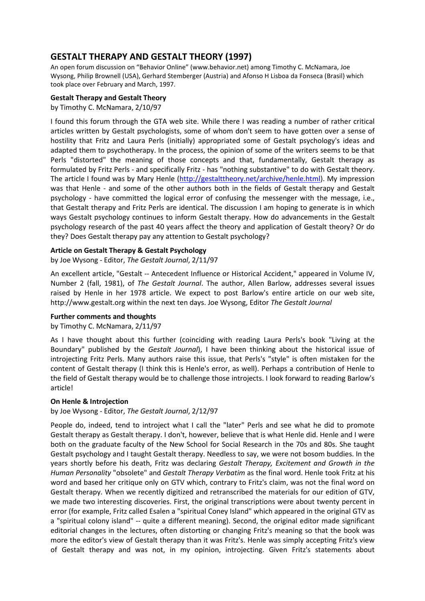# **GESTALT THERAPY AND GESTALT THEORY (1997)**

An open forum discussion on "Behavior Online" (www.behavior.net) among Timothy C. McNamara, Joe Wysong, Philip Brownell (USA), Gerhard Stemberger (Austria) and Afonso H Lisboa da Fonseca (Brasil) which took place over February and March, 1997.

# **Gestalt Therapy and Gestalt Theory**

by Timothy C. McNamara, 2/10/97

I found this forum through the GTA web site. While there I was reading a number of rather critical articles written by Gestalt psychologists, some of whom don't seem to have gotten over a sense of hostility that Fritz and Laura Perls (initially) appropriated some of Gestalt psychology's ideas and adapted them to psychotherapy. In the process, the opinion of some of the writers seems to be that Perls "distorted" the meaning of those concepts and that, fundamentally, Gestalt therapy as formulated by Fritz Perls - and specifically Fritz - has "nothing substantive" to do with Gestalt theory. The article I found was by Mary Henle (http://gestalttheory.net/archive/henle.html). My impression was that Henle - and some of the other authors both in the fields of Gestalt therapy and Gestalt psychology - have committed the logical error of confusing the messenger with the message, i.e., that Gestalt therapy and Fritz Perls are identical. The discussion I am hoping to generate is in which ways Gestalt psychology continues to inform Gestalt therapy. How do advancements in the Gestalt psychology research of the past 40 years affect the theory and application of Gestalt theory? Or do they? Does Gestalt therapy pay any attention to Gestalt psychology?

## **Article on Gestalt Therapy & Gestalt Psychology**

by Joe Wysong - Editor, *The Gestalt Journal*, 2/11/97

An excellent article, "Gestalt -- Antecedent Influence or Historical Accident," appeared in Volume IV, Number 2 (fall, 1981), of *The Gestalt Journal*. The author, Allen Barlow, addresses several issues raised by Henle in her 1978 article. We expect to post Barlow's entire article on our web site, http://www.gestalt.org within the next ten days. Joe Wysong, Editor *The Gestalt Journal* 

## **Further comments and thoughts**

## by Timothy C. McNamara, 2/11/97

As I have thought about this further (coinciding with reading Laura Perls's book "Living at the Boundary" published by the *Gestalt Journal*), I have been thinking about the historical issue of introjecting Fritz Perls. Many authors raise this issue, that Perls's "style" is often mistaken for the content of Gestalt therapy (I think this is Henle's error, as well). Perhaps a contribution of Henle to the field of Gestalt therapy would be to challenge those introjects. I look forward to reading Barlow's article!

## **On Henle & Introjection**

by Joe Wysong - Editor, *The Gestalt Journal*, 2/12/97

People do, indeed, tend to introject what I call the "later" Perls and see what he did to promote Gestalt therapy as Gestalt therapy. I don't, however, believe that is what Henle did. Henle and I were both on the graduate faculty of the New School for Social Research in the 70s and 80s. She taught Gestalt psychology and I taught Gestalt therapy. Needless to say, we were not bosom buddies. In the years shortly before his death, Fritz was declaring *Gestalt Therapy, Excitement and Growth in the Human Personality* "obsolete" and *Gestalt Therapy Verbatim* as the final word. Henle took Fritz at his word and based her critique only on GTV which, contrary to Fritz's claim, was not the final word on Gestalt therapy. When we recently digitized and retranscribed the materials for our edition of GTV, we made two interesting discoveries. First, the original transcriptions were about twenty percent in error (for example, Fritz called Esalen a "spiritual Coney Island" which appeared in the original GTV as a "spiritual colony island" -- quite a different meaning). Second, the original editor made significant editorial changes in the lectures, often distorting or changing Fritz's meaning so that the book was more the editor's view of Gestalt therapy than it was Fritz's. Henle was simply accepting Fritz's view of Gestalt therapy and was not, in my opinion, introjecting. Given Fritz's statements about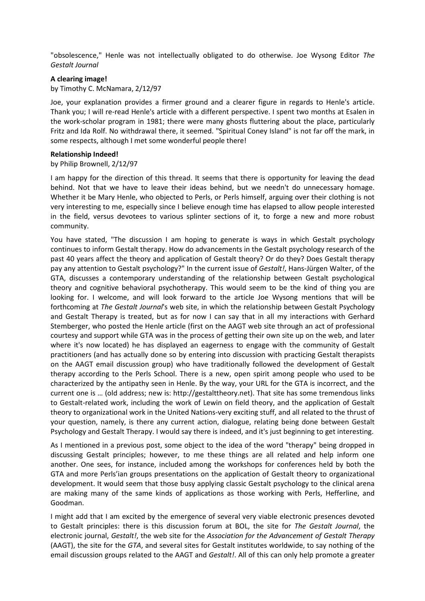"obsolescence," Henle was not intellectually obligated to do otherwise. Joe Wysong Editor *The Gestalt Journal*

#### **A clearing image!**

by Timothy C. McNamara, 2/12/97

Joe, your explanation provides a firmer ground and a clearer figure in regards to Henle's article. Thank you; I will re-read Henle's article with a different perspective. I spent two months at Esalen in the work-scholar program in 1981; there were many ghosts fluttering about the place, particularly Fritz and Ida Rolf. No withdrawal there, it seemed. "Spiritual Coney Island" is not far off the mark, in some respects, although I met some wonderful people there!

#### **Relationship Indeed!**

#### by Philip Brownell, 2/12/97

I am happy for the direction of this thread. It seems that there is opportunity for leaving the dead behind. Not that we have to leave their ideas behind, but we needn't do unnecessary homage. Whether it be Mary Henle, who objected to Perls, or Perls himself, arguing over their clothing is not very interesting to me, especially since I believe enough time has elapsed to allow people interested in the field, versus devotees to various splinter sections of it, to forge a new and more robust community.

You have stated, "The discussion I am hoping to generate is ways in which Gestalt psychology continues to inform Gestalt therapy. How do advancements in the Gestalt psychology research of the past 40 years affect the theory and application of Gestalt theory? Or do they? Does Gestalt therapy pay any attention to Gestalt psychology?" In the current issue of *Gestalt!*, Hans-Jürgen Walter, of the GTA, discusses a contemporary understanding of the relationship between Gestalt psychological theory and cognitive behavioral psychotherapy. This would seem to be the kind of thing you are looking for. I welcome, and will look forward to the article Joe Wysong mentions that will be forthcoming at *The Gestalt Journal*'s web site, in which the relationship between Gestalt Psychology and Gestalt Therapy is treated, but as for now I can say that in all my interactions with Gerhard Stemberger, who posted the Henle article (first on the AAGT web site through an act of professional courtesy and support while GTA was in the process of getting their own site up on the web, and later where it's now located) he has displayed an eagerness to engage with the community of Gestalt practitioners (and has actually done so by entering into discussion with practicing Gestalt therapists on the AAGT email discussion group) who have traditionally followed the development of Gestalt therapy according to the Perls School. There is a new, open spirit among people who used to be characterized by the antipathy seen in Henle. By the way, your URL for the GTA is incorrect, and the current one is … (old address; new is: http://gestalttheory.net). That site has some tremendous links to Gestalt-related work, including the work of Lewin on field theory, and the application of Gestalt theory to organizational work in the United Nations-very exciting stuff, and all related to the thrust of your question, namely, is there any current action, dialogue, relating being done between Gestalt Psychology and Gestalt Therapy. I would say there is indeed, and it's just beginning to get interesting.

As I mentioned in a previous post, some object to the idea of the word "therapy" being dropped in discussing Gestalt principles; however, to me these things are all related and help inform one another. One sees, for instance, included among the workshops for conferences held by both the GTA and more Perls'ian groups presentations on the application of Gestalt theory to organizational development. It would seem that those busy applying classic Gestalt psychology to the clinical arena are making many of the same kinds of applications as those working with Perls, Hefferline, and Goodman.

I might add that I am excited by the emergence of several very viable electronic presences devoted to Gestalt principles: there is this discussion forum at BOL, the site for *The Gestalt Journal*, the electronic journal, *Gestalt!*, the web site for the *Association for the Advancement of Gestalt Therapy* (AAGT), the site for the *GTA*, and several sites for Gestalt institutes worldwide, to say nothing of the email discussion groups related to the AAGT and *Gestalt!*. All of this can only help promote a greater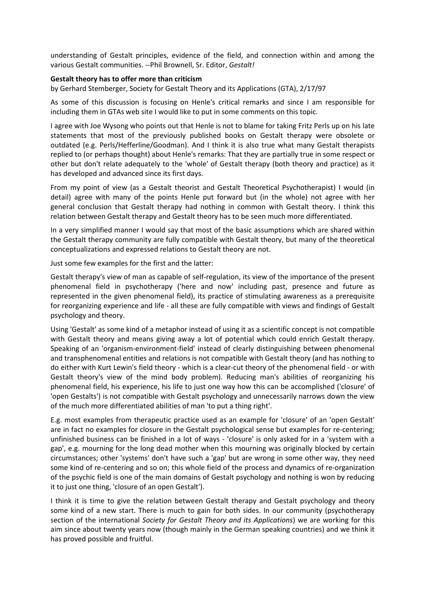understanding of Gestalt principles, evidence of the field, and connection within and among the various Gestalt communities. --Phil Brownell, Sr. Editor, *Gestalt!*

#### **Gestalt theory has to offer more than criticism**

by Gerhard Stemberger, Society for Gestalt Theory and its Applications (GTA), 2/17/97

As some of this discussion is focusing on Henle's critical remarks and since I am responsible for including them in GTAs web site I would like to put in some comments on this topic.

I agree with Joe Wysong who points out that Henle is not to blame for taking Fritz Perls up on his late statements that most of the previously published books on Gestalt therapy were obsolete or outdated (e.g. Perls/Hefferline/Goodman). And I think it is also true what many Gestalt therapists replied to (or perhaps thought) about Henle's remarks: That they are partially true in some respect or other but don't relate adequately to the 'whole' of Gestalt therapy (both theory and practice) as it has developed and advanced since its first days.

From my point of view (as a Gestalt theorist and Gestalt Theoretical Psychotherapist) I would (in detail) agree with many of the points Henle put forward but (in the whole) not agree with her general conclusion that Gestalt therapy had nothing in common with Gestalt theory. I think this relation between Gestalt therapy and Gestalt theory has to be seen much more differentiated.

In a very simplified manner I would say that most of the basic assumptions which are shared within the Gestalt therapy community are fully compatible with Gestalt theory, but many of the theoretical conceptualizations and expressed relations to Gestalt theory are not.

Just some few examples for the first and the latter:

Gestalt therapy's view of man as capable of self-regulation, its view of the importance of the present phenomenal field in psychotherapy ('here and now' including past, presence and future as represented in the given phenomenal field), its practice of stimulating awareness as a prerequisite for reorganizing experience and life - all these are fully compatible with views and findings of Gestalt psychology and theory.

Using 'Gestalt' as some kind of a metaphor instead of using it as a scientific concept is not compatible with Gestalt theory and means giving away a lot of potential which could enrich Gestalt therapy. Speaking of an 'organism-environment-field' instead of clearly distinguishing between phenomenal and transphenomenal entities and relations is not compatible with Gestalt theory (and has nothing to do either with Kurt Lewin's field theory - which is a clear-cut theory of the phenomenal field - or with Gestalt theory's view of the mind body problem). Reducing man's abilities of reorganizing his phenomenal field, his experience, his life to just one way how this can be accomplished ('closure' of 'open Gestalts') is not compatible with Gestalt psychology and unnecessarily narrows down the view of the much more differentiated abilities of man 'to put a thing right'.

E.g. most examples from therapeutic practice used as an example for 'closure' of an 'open Gestalt' are in fact no examples for closure in the Gestalt psychological sense but examples for re-centering; unfinished business can be finished in a lot of ways - 'closure' is only asked for in a 'system with a gap', e.g. mourning for the long dead mother when this mourning was originally blocked by certain circumstances; other 'systems' don't have such a 'gap' but are wrong in some other way, they need some kind of re-centering and so on; this whole field of the process and dynamics of re-organization of the psychic field is one of the main domains of Gestalt psychology and nothing is won by reducing it to just one thing, 'closure of an open Gestalt').

I think it is time to give the relation between Gestalt therapy and Gestalt psychology and theory some kind of a new start. There is much to gain for both sides. In our community (psychotherapy section of the international *Society for Gestalt Theory and its Applications*) we are working for this aim since about twenty years now (though mainly in the German speaking countries) and we think it has proved possible and fruitful.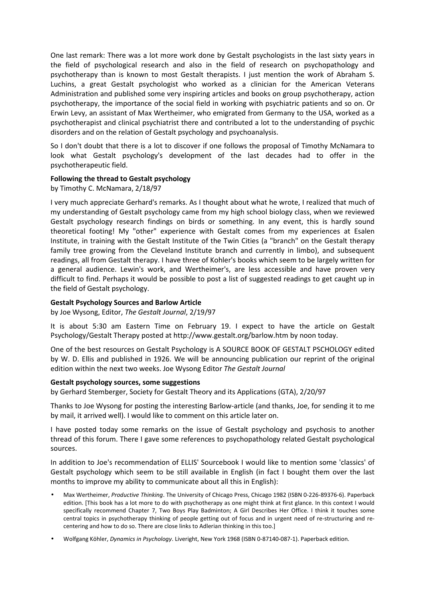One last remark: There was a lot more work done by Gestalt psychologists in the last sixty years in the field of psychological research and also in the field of research on psychopathology and psychotherapy than is known to most Gestalt therapists. I just mention the work of Abraham S. Luchins, a great Gestalt psychologist who worked as a clinician for the American Veterans Administration and published some very inspiring articles and books on group psychotherapy, action psychotherapy, the importance of the social field in working with psychiatric patients and so on. Or Erwin Levy, an assistant of Max Wertheimer, who emigrated from Germany to the USA, worked as a psychotherapist and clinical psychiatrist there and contributed a lot to the understanding of psychic disorders and on the relation of Gestalt psychology and psychoanalysis.

So I don't doubt that there is a lot to discover if one follows the proposal of Timothy McNamara to look what Gestalt psychology's development of the last decades had to offer in the psychotherapeutic field.

## **Following the thread to Gestalt psychology**

by Timothy C. McNamara, 2/18/97

I very much appreciate Gerhard's remarks. As I thought about what he wrote, I realized that much of my understanding of Gestalt psychology came from my high school biology class, when we reviewed Gestalt psychology research findings on birds or something. In any event, this is hardly sound theoretical footing! My "other" experience with Gestalt comes from my experiences at Esalen Institute, in training with the Gestalt Institute of the Twin Cities (a "branch" on the Gestalt therapy family tree growing from the Cleveland Institute branch and currently in limbo), and subsequent readings, all from Gestalt therapy. I have three of Kohler's books which seem to be largely written for a general audience. Lewin's work, and Wertheimer's, are less accessible and have proven very difficult to find. Perhaps it would be possible to post a list of suggested readings to get caught up in the field of Gestalt psychology.

## **Gestalt Psychology Sources and Barlow Article**

by Joe Wysong, Editor, *The Gestalt Journal*, 2/19/97

It is about 5:30 am Eastern Time on February 19. I expect to have the article on Gestalt Psychology/Gestalt Therapy posted at http://www.gestalt.org/barlow.htm by noon today.

One of the best resources on Gestalt Psychology is A SOURCE BOOK OF GESTALT PSCHOLOGY edited by W. D. Ellis and published in 1926. We will be announcing publication our reprint of the original edition within the next two weeks. Joe Wysong Editor *The Gestalt Journal*

## **Gestalt psychology sources, some suggestions**

by Gerhard Stemberger, Society for Gestalt Theory and its Applications (GTA), 2/20/97

Thanks to Joe Wysong for posting the interesting Barlow-article (and thanks, Joe, for sending it to me by mail, it arrived well). I would like to comment on this article later on.

I have posted today some remarks on the issue of Gestalt psychology and psychosis to another thread of this forum. There I gave some references to psychopathology related Gestalt psychological sources.

In addition to Joe's recommendation of ELLIS' Sourcebook I would like to mention some 'classics' of Gestalt psychology which seem to be still available in English (in fact I bought them over the last months to improve my ability to communicate about all this in English):

- Max Wertheimer, *Productive Thinking*. The University of Chicago Press, Chicago 1982 (ISBN 0-226-89376-6). Paperback edition. [This book has a lot more to do with psychotherapy as one might think at first glance. In this context I would specifically recommend Chapter 7, Two Boys Play Badminton; A Girl Describes Her Office. I think it touches some central topics in psychotherapy thinking of people getting out of focus and in urgent need of re-structuring and recentering and how to do so. There are close links to Adlerian thinking in this too.]
- Wolfgang Köhler, *Dynamics in Psychology*. Liveright, New York 1968 (ISBN 0-87140-087-1). Paperback edition.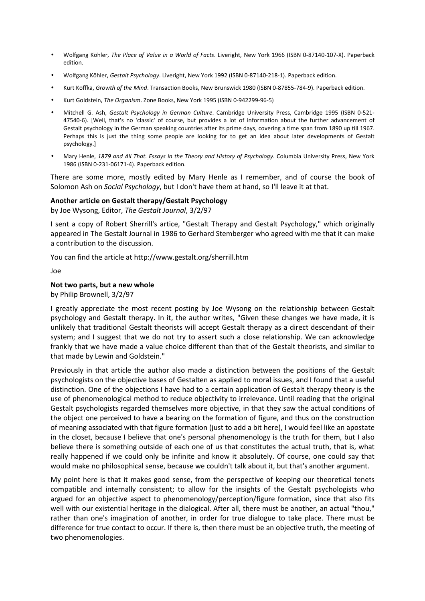- Wolfgang Köhler, *The Place of Value in a World of Facts*. Liveright, New York 1966 (ISBN 0-87140-107-X). Paperback edition.
- Wolfgang Köhler, *Gestalt Psychology*. Liveright, New York 1992 (ISBN 0-87140-218-1). Paperback edition.
- Kurt Koffka, *Growth of the Mind*. Transaction Books, New Brunswick 1980 (ISBN 0-87855-784-9). Paperback edition.
- Kurt Goldstein, *The Organism*. Zone Books, New York 1995 (ISBN 0-942299-96-5)
- Mitchell G. Ash, *Gestalt Psychology in German Culture*. Cambridge University Press, Cambridge 1995 (ISBN 0-521- 47540-6). [Well, that's no 'classic' of course, but provides a lot of information about the further advancement of Gestalt psychology in the German speaking countries after its prime days, covering a time span from 1890 up till 1967. Perhaps this is just the thing some people are looking for to get an idea about later developments of Gestalt psychology.]
- Mary Henle, *1879 and All That. Essays in the Theory and History of Psychology*. Columbia University Press, New York 1986 (ISBN 0-231-06171-4). Paperback edition.

There are some more, mostly edited by Mary Henle as I remember, and of course the book of Solomon Ash on *Social Psychology*, but I don't have them at hand, so I'll leave it at that.

## **Another article on Gestalt therapy/Gestalt Psychology**

by Joe Wysong, Editor, *The Gestalt Journal*, 3/2/97

I sent a copy of Robert Sherrill's artice, "Gestalt Therapy and Gestalt Psychology," which originally appeared in The Gestalt Journal in 1986 to Gerhard Stemberger who agreed with me that it can make a contribution to the discussion.

You can find the article at http://www.gestalt.org/sherrill.htm

Joe

## **Not two parts, but a new whole**

by Philip Brownell, 3/2/97

I greatly appreciate the most recent posting by Joe Wysong on the relationship between Gestalt psychology and Gestalt therapy. In it, the author writes, "Given these changes we have made, it is unlikely that traditional Gestalt theorists will accept Gestalt therapy as a direct descendant of their system; and I suggest that we do not try to assert such a close relationship. We can acknowledge frankly that we have made a value choice different than that of the Gestalt theorists, and similar to that made by Lewin and Goldstein."

Previously in that article the author also made a distinction between the positions of the Gestalt psychologists on the objective bases of Gestalten as applied to moral issues, and I found that a useful distinction. One of the objections I have had to a certain application of Gestalt therapy theory is the use of phenomenological method to reduce objectivity to irrelevance. Until reading that the original Gestalt psychologists regarded themselves more objective, in that they saw the actual conditions of the object one perceived to have a bearing on the formation of figure, and thus on the construction of meaning associated with that figure formation (just to add a bit here), I would feel like an apostate in the closet, because I believe that one's personal phenomenology is the truth for them, but I also believe there is something outside of each one of us that constitutes the actual truth, that is, what really happened if we could only be infinite and know it absolutely. Of course, one could say that would make no philosophical sense, because we couldn't talk about it, but that's another argument.

My point here is that it makes good sense, from the perspective of keeping our theoretical tenets compatible and internally consistent; to allow for the insights of the Gestalt psychologists who argued for an objective aspect to phenomenology/perception/figure formation, since that also fits well with our existential heritage in the dialogical. After all, there must be another, an actual "thou," rather than one's imagination of another, in order for true dialogue to take place. There must be difference for true contact to occur. If there is, then there must be an objective truth, the meeting of two phenomenologies.